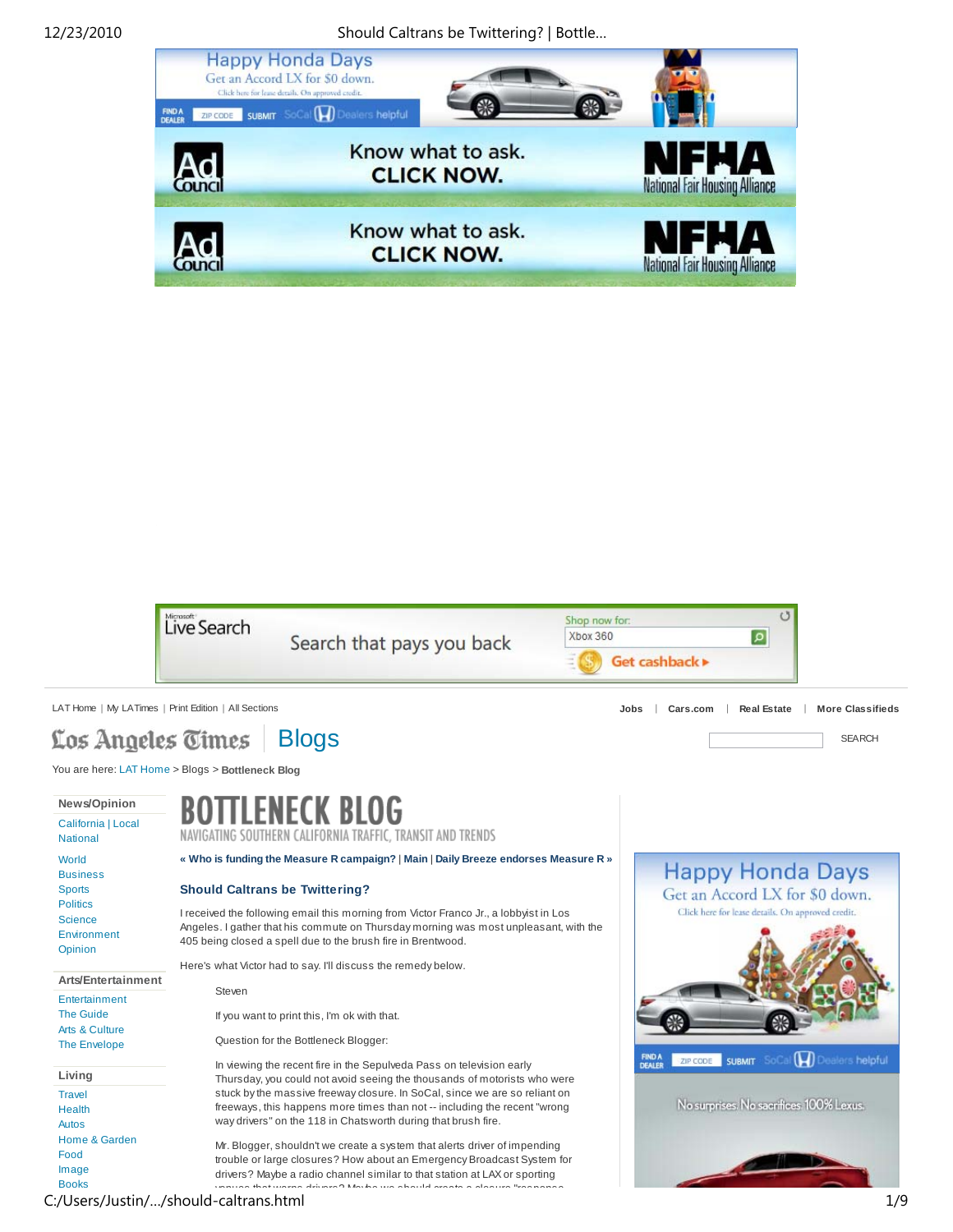

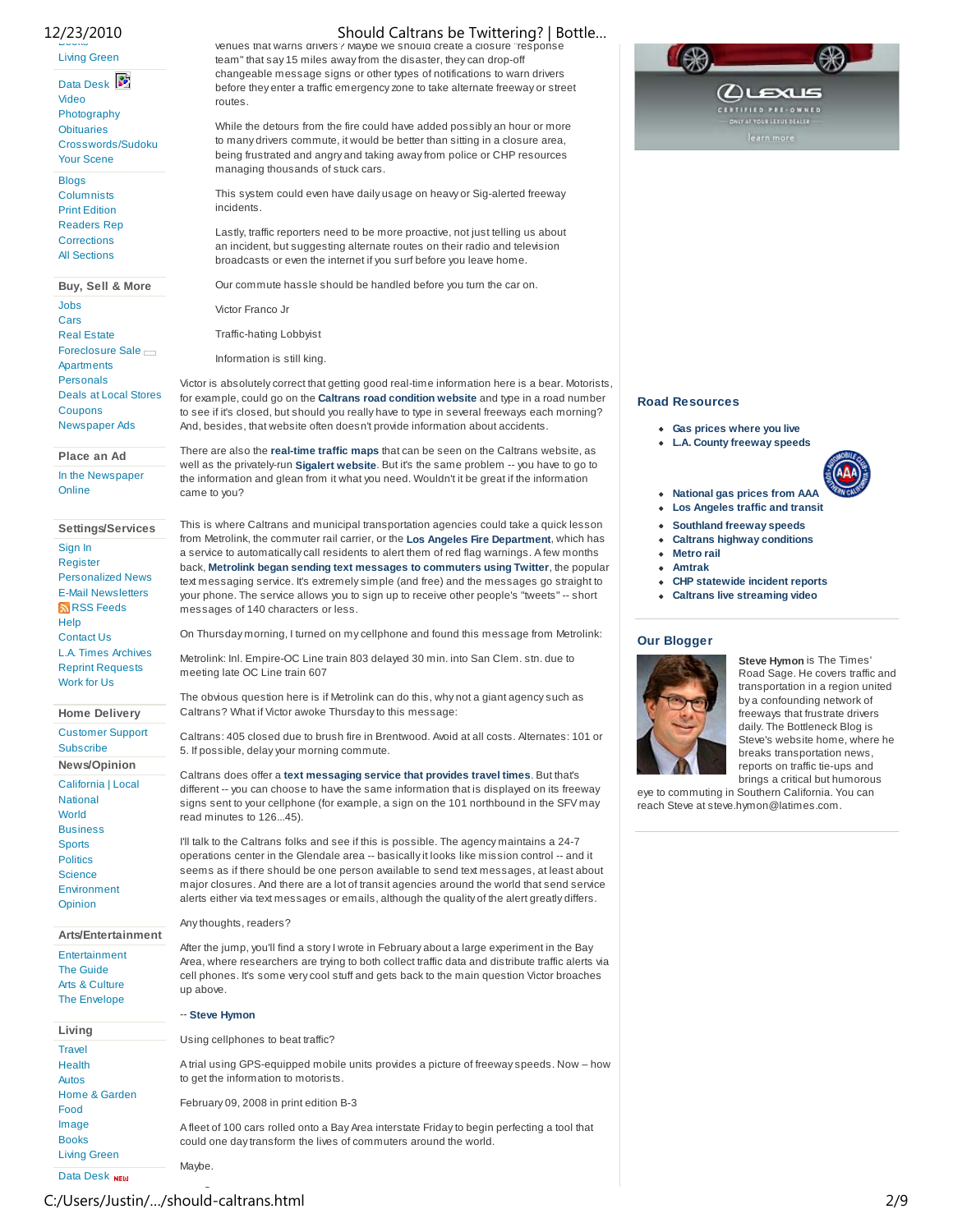# 12/23/2010

Living Green

Data Desk Video Photography **Obituaries** Crosswords/Sudoku Your Scene

routes.

incidents.

Victor Franco Jr

came to you?

Traffic-hating Lobbyist Information is still king.

messages of 140 characters or less.

meeting late OC Line train 607

managing thousands of stuck cars.

**Blogs Columnists** Print Edition Readers Rep **Corrections** All Sections

**Buy, Sell & More**

Jobs Cars Real Estate Foreclosure Sale Apartments Personals Deals at Local Stores **Coupons** Newspaper Ads

**Place an Ad** In the Newspaper

**Online** 

**Settings/Services**

Sign In Register Personalized News E-Mail Newsletters **RSS** Feeds **Help** Contact Us L.A. Times Archives Reprint Requests Work for Us

**Home Delivery** Customer Support

Subscribe **News/Opinion**

California | Local **National** World

**Business Sports Politics Science** Environment

**Arts/Entertainment** Entertainment The Guide Arts & Culture

**Opinion** 

Any thoughts, readers?

read minutes to 126...45).

After the jump, you'll find a story I wrote in February about a large experiment in the Bay Area, where researchers are trying to both collect traffic data and distribute traffic alerts via cell phones. It's some very cool stuff and gets back to the main question Victor broaches up above.

venues that warns drivers ? Maybe we should create a closure "resp team" that say 15 miles away from the disaster, they can drop-off changeable message signs or other types of notifications to warn drivers before they enter a traffic emergency zone to take alternate freeway or street

While the detours from the fire could have added possibly an hour or more to many drivers commute, it would be better than sitting in a closure area, being frustrated and angry and taking away from police or CHP resources

Should Caltrans be Twittering? | Bottle...

This system could even have daily usage on heavy or Sig-alerted freeway

Lastly, traffic reporters need to be more proactive, not just telling us about an incident, but suggesting alternate routes on their radio and television broadcasts or even the internet if you surf before you leave home. Our commute hassle should be handled before you turn the car on.

Victor is absolutely correct that getting good real-time information here is a bear. Motorists, for example, could go on the **Caltrans road condition website** and type in a road number to see if it's closed, but should you really have to type in several freeways each morning?

There are also the **real-time traffic maps** that can be seen on the Caltrans website, as well as the privately-run **Sigalert website**. But it's the same problem -- you have to go to the information and glean from it what you need. Wouldn't it be great if the information

This is where Caltrans and municipal transportation agencies could take a quick lesson from Metrolink, the commuter rail carrier, or the **Los Angeles Fire Department**, which has a service to automatically call residents to alert them of red flag warnings. A few months back, **Metrolink began sending text messages to commuters using Twitter**, the popular text messaging service. It's extremely simple (and free) and the messages go straight to your phone. The service allows you to sign up to receive other people's "tweets" -- short

On Thursday morning, I turned on my cellphone and found this message from Metrolink: Metrolink: Inl. Empire-OC Line train 803 delayed 30 min. into San Clem. stn. due to

The obvious question here is if Metrolink can do this, why not a giant agency such as

Caltrans does offer a **text messaging service that provides travel times**. But that's different -- you can choose to have the same information that is displayed on its freeway signs sent to your cellphone (for example, a sign on the 101 northbound in the SFV may

I'll talk to the Caltrans folks and see if this is possible. The agency maintains a 24-7 operations center in the Glendale area -- basically it looks like mission control -- and it seems as if there should be one person available to send text messages, at least about major closures. And there are a lot of transit agencies around the world that send service alerts either via text messages or emails, although the quality of the alert greatly differs.

Caltrans: 405 closed due to brush fire in Brentwood. Avoid at all costs. Alternates: 101 or

Caltrans? What if Victor awoke Thursday to this message:

5. If possible, delay your morning commute.

And, besides, that website often doesn't provide information about accidents.

| <b>The Envelope</b> | up apove.                                                                                    |
|---------------------|----------------------------------------------------------------------------------------------|
|                     | -- Steve Hymon                                                                               |
| Living              | Using cellphones to beat traffic?                                                            |
| Travel              |                                                                                              |
| <b>Health</b>       | A trial using GPS-equipped mobile units provides a picture of freeway speeds. Now – how      |
| Autos               | to get the information to motorists.                                                         |
| Home & Garden       |                                                                                              |
| Food                | February 09, 2008 in print edition B-3                                                       |
| Image               | A fleet of 100 cars rolled onto a Bay Area interstate Friday to begin perfecting a tool that |
| <b>Books</b>        | could one day transform the lives of commuters around the world.                             |
| <b>Living Green</b> |                                                                                              |
| Data Desk NEW       | Maybe.                                                                                       |



 $\omega$ caus CERTIFIED PRE-OWNED<br>- ONLY AT YOUR LETUE DEALER

**Road Resources**

- **Gas prices where you live**
- **L.A. County freeway speeds**



- **National gas prices from AAA**
- **Los Angeles traffic and transit**
- **Southland freeway speeds**
- **Caltrans highway conditions**
- **Metro rail**
- **Amtrak**
- **CHP statewide incident reports**
- **Caltrans live streaming video**

### **Our Blogger**



**Steve Hymon** is The Times' Road Sage. He covers traffic and transportation in a region united by a confounding network of freeways that frustrate drivers daily. The Bottleneck Blog is Steve's website home, where he breaks transportation news, reports on traffic tie-ups and brings a critical but humorous

eye to commuting in Southern California. You can reach Steve at steve.hymon@latimes.com.

S C:/Users/Justin/…/should-caltrans.html 2/9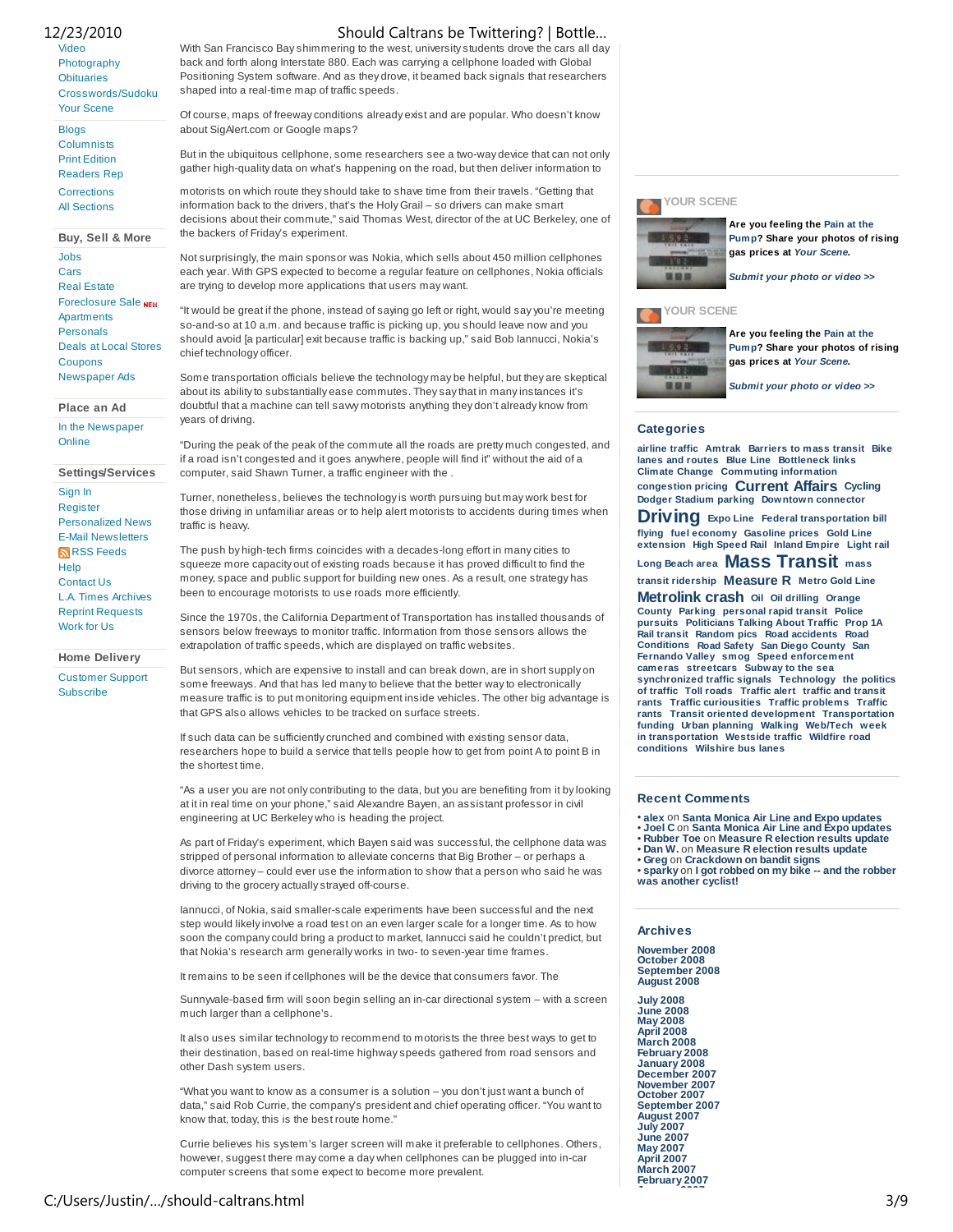Video Photography **Obituaries** Crosswords/Sudoku

Your Scene

### **Blogs**

**Columnists** Print Edition Readers Rep **Corrections** 

All Sections

**Buy, Sell & More** Jobs Cars Real Estate **Foreclosure Sale NEW Apartments** Personals Deals at Local Stores Coupons Newspaper Ads

**Place an Ad**

In the Newspaper

**Online** 

**Settings/Services**

Sign In Register Personalized News E-Mail Newsletters **RSS** Feeds **Help** Contact Us L.A. Times Archives

Reprint Requests Work for Us

**Home Delivery**

Customer Support **Subscribe** 

### 12/23/2010 Should Caltrans be Twittering? | Bottle…

With San Francisco Bay shimmering to the west, university students drove the cars all day back and forth along Interstate 880. Each was carrying a cellphone loaded with Global Positioning System software. And as they drove, it beamed back signals that researchers shaped into a real-time map of traffic speeds.

Of course, maps of freeway conditions already exist and are popular. Who doesn't know about SigAlert.com or Google maps?

But in the ubiquitous cellphone, some researchers see a two-way device that can not only gather high-quality data on what's happening on the road, but then deliver information to

motorists on which route they should take to shave time from their travels. "Getting that information back to the drivers, that's the Holy Grail – so drivers can make smart decisions about their commute," said Thomas West, director of the at UC Berkeley, one of the backers of Friday's experiment.

Not surprisingly, the main sponsor was Nokia, which sells about 450 million cellphones each year. With GPS expected to become a regular feature on cellphones, Nokia officials are trying to develop more applications that users may want.

"It would be great if the phone, instead of saying go left or right, would say you're meeting so-and-so at 10 a.m. and because traffic is picking up, you should leave now and you should avoid [a particular] exit because traffic is backing up," said Bob lannucci, Nokia's chief technology officer.

Some transportation officials believe the technology may be helpful, but they are skeptical about its ability to substantially ease commutes. They say that in many instances it's doubtful that a machine can tell sawy motorists anything they don't already know from years of driving.

"During the peak of the peak of the commute all the roads are pretty much congested, and if a road isn't congested and it goes anywhere, people will find it" without the aid of a computer, said Shawn Turner, a traffic engineer with the .

Turner, nonetheless, believes the technology is worth pursuing but may work best for those driving in unfamiliar areas or to help alert motorists to accidents during times when traffic is heavy.

The push by high-tech firms coincides with a decades-long effort in many cities to squeeze more capacity out of existing roads because it has proved difficult to find the money, space and public support for building new ones. As a result, one strategy has been to encourage motorists to use roads more efficiently.

Since the 1970s, the California Department of Transportation has installed thousands of sensors below freeways to monitor traffic. Information from those sensors allows the extrapolation of traffic speeds, which are displayed on traffic websites.

But sensors, which are expensive to install and can break down, are in short supply on some freeways. And that has led many to believe that the better way to electronically measure traffic is to put monitoring equipment inside vehicles. The other big advantage is that GPS also allows vehicles to be tracked on surface streets.

If such data can be sufficiently crunched and combined with existing sensor data, researchers hope to build a service that tells people how to get from point A to point B in the shortest time.

"As a user you are not only contributing to the data, but you are benefiting from it by looking at it in real time on your phone," said Alexandre Bayen, an assistant professor in civil engineering at UC Berkeley who is heading the project.

As part of Friday's experiment, which Bayen said was successful, the cellphone data was stripped of personal information to alleviate concerns that Big Brother – or perhaps a divorce attorney – could ever use the information to show that a person who said he was driving to the grocery actually strayed off-course.

Iannucci, of Nokia, said smaller-scale experiments have been successful and the next step would likely involve a road test on an even larger scale for a longer time. As to how soon the company could bring a product to market, Iannucci said he couldn't predict, but that Nokia's research arm generally works in two- to seven-year time frames.

It remains to be seen if cellphones will be the device that consumers favor. The

Sunnyvale-based firm will soon begin selling an in-car directional system – with a screen much larger than a cellphone's.

It also uses similar technology to recommend to motorists the three best ways to get to their destination, based on real-time highway speeds gathered from road sensors and other Dash system users.

"What you want to know as a consumer is a solution – you don't just want a bunch of data," said Rob Currie, the company's president and chief operating officer. "You want to know that, today, this is the best route home."

Currie believes his system's larger screen will make it preferable to cellphones. Others, however, suggest there may come a day when cellphones can be plugged into in-car computer screens that some expect to become more prevalent.

#### **YOUR SCENE**



**Are you feeling the Pain at the Pump? Share your photos of rising gas prices at** *Your Scene.*

*Submit your photo or video >>*

#### **YOUR SCENE**



**Are you feeling the Pain at the Pump? Share your photos of rising gas prices at** *Your Scene.*

*Submit your photo or video >>*

### **Categories**

**airline traffic Amtrak Barriers to mass transit Bike lanes and routes Blue Line Bottleneck links Climate Change Commuting information**

**congestion pricing Current Affairs Cycling Dodger Stadium parking Downtown connector**

**Driving Expo Line Federal transportation bill flying fuel economy Gasoline prices Gold Line extension High Speed Rail Inland Empire Light rail**

**Long Beach area Mass Transit mass**

**transit ridership Measure R Metro Gold Line**

**Metrolink crash Oil Oil drilling Orange County Parking personal rapid transit Police pursuits Politicians Talking About Traffic Prop 1A Rail transit Random pics Road accidents Road Conditions Road Safety San Diego County San Fernando Valley smog Speed enforcement cameras streetcars Subway to the sea synchronized traffic signals Technology the politics of traffic Toll roads Traffic alert traffic and transit rants Traffic curiousities Traffic problems Traffic rants Transit oriented development Transportation funding Urban planning Walking Web/Tech week in transportation Westside traffic Wildfire road conditions Wilshire bus lanes**

#### **Recent Comments**

- alex on Santa Monica Air Line and Expo updates<br>• Joel Con Santa Monica Air Line and Expo updates<br>• Rubber Toe on Measure R election results update<br>• Dan W. on Measure R election results update<br>• Greg on Crackdown on band
- 
- 
- 

**was another cyclist!**

#### **Archives**

**November 2008 October 2008 September 2008 August 2008 July 2008 June 2008 May 2008 April 2008 March 2008 February 2008 January 2008 December 2007 November 2007 October 2007 September 2007 August 2007 July 2007 June 2007 May 2007 April 2007 March 2007 February 2007**

**J 2007**

# C:/Users/Justin/…/should-caltrans.html 3/9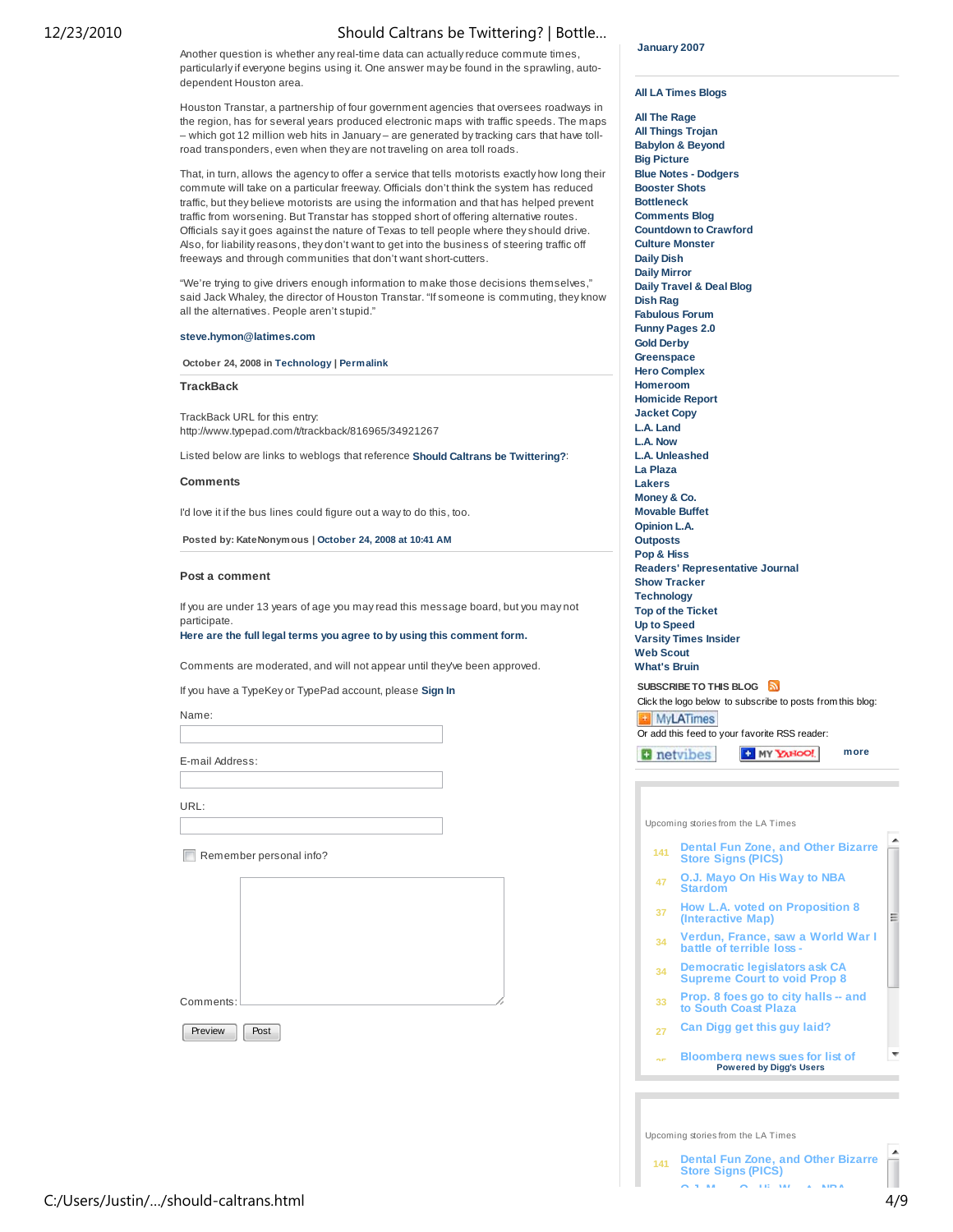Another question is whether any real-time data can actually reduce commute times, particularly if everyone begins using it. One answer may be found in the sprawling, autodependent Houston area.

Houston Transtar, a partnership of four government agencies that oversees roadways in the region, has for several years produced electronic maps with traffic speeds. The maps – which got 12 million web hits in January – are generated by tracking cars that have tollroad transponders, even when they are not traveling on area toll roads.

That, in turn, allows the agency to offer a service that tells motorists exactly how long their commute will take on a particular freeway. Officials don't think the system has reduced traffic, but they believe motorists are using the information and that has helped prevent traffic from worsening. But Transtar has stopped short of offering alternative routes. Officials say it goes against the nature of Texas to tell people where they should drive. Also, for liability reasons, they don't want to get into the business of steering traffic off freeways and through communities that don't want short-cutters.

"We're trying to give drivers enough information to make those decisions themselves," said Jack Whaley, the director of Houston Transtar. "If someone is commuting, they know all the alternatives. People aren't stupid."

#### **steve.hymon@latimes.com**

**October 24, 2008 in Technology | Permalink**

#### **TrackBack**

TrackBack URL for this entry: http://www.typepad.com/t/trackback/816965/34921267

Listed below are links to weblogs that reference **Should Caltrans be Twittering?**:

#### **Comments**

I'd love it if the bus lines could figure out a way to do this, too.

**Posted by: KateNonymous | October 24, 2008 at 10:41 AM**

#### **Post a comment**

If you are under 13 years of age you may read this message board, but you may not participate.

**Here are the full legal terms you agree to by using this comment form.**

Comments are moderated, and will not appear until they've been approved.

If you have a TypeKey or TypePad account, please **Sign In**

Name:

E-mail Address:

URL:

Remember personal info?

| Comments: L |  |  |  |
|-------------|--|--|--|
|             |  |  |  |

Preview **Post** 

# **January 2007**

#### **All LA Times Blogs**

**All The Rage All Things Trojan Babylon & Beyond Big Picture Blue Notes - Dodgers Booster Shots Bottleneck Comments Blog Countdown to Crawford Culture Monster Daily Dish Daily Mirror Daily Travel & Deal Blog Dish Rag Fabulous Forum Funny Pages 2.0 Gold Derby Greenspace Hero Complex Homeroom Homicide Report Jacket Copy L.A. Land L.A. Now L.A. Unleashed La Plaza Lakers Money & Co. Movable Buffet Opinion L.A. Outposts Pop & Hiss Readers' Representative Journal Show Tracker Technology Top of the Ticket Up to Speed Varsity Times Insider Web Scout What's Bruin SUBSCRIBE TO THIS BLOG** 

Click the logo below to subscribe to posts from this blog:

MyLATimes Or add this feed to your favorite RSS reader:

**MY YAHOO!** more **D** netvibes

Upcoming stories from the LA Times

- **141 Dental Fun Zone, and Other Bizarre Store Signs (PICS)**
- **47 O.J. Mayo On His Way to NBA Stardom**
- **37 How L.A. voted on Proposition 8 (Interactive Map)**
- **34 Verdun, France, saw a World War I battle of terrible loss -**
- **34 Democratic legislators ask CA Supreme Court to void Prop 8**
- **Prop. 8 foes go to city halls -- and to South Coast Plaza**
- **27 Can Digg get this guy laid?**
- **25 Bloomberg news sues for list of Powered by Digg's Users**

Upcoming stories from the LA Times

**141 Dental Fun Zone, and Other Bizarre Store Signs (PICS) O J M O Hi W t NBA**

۸

E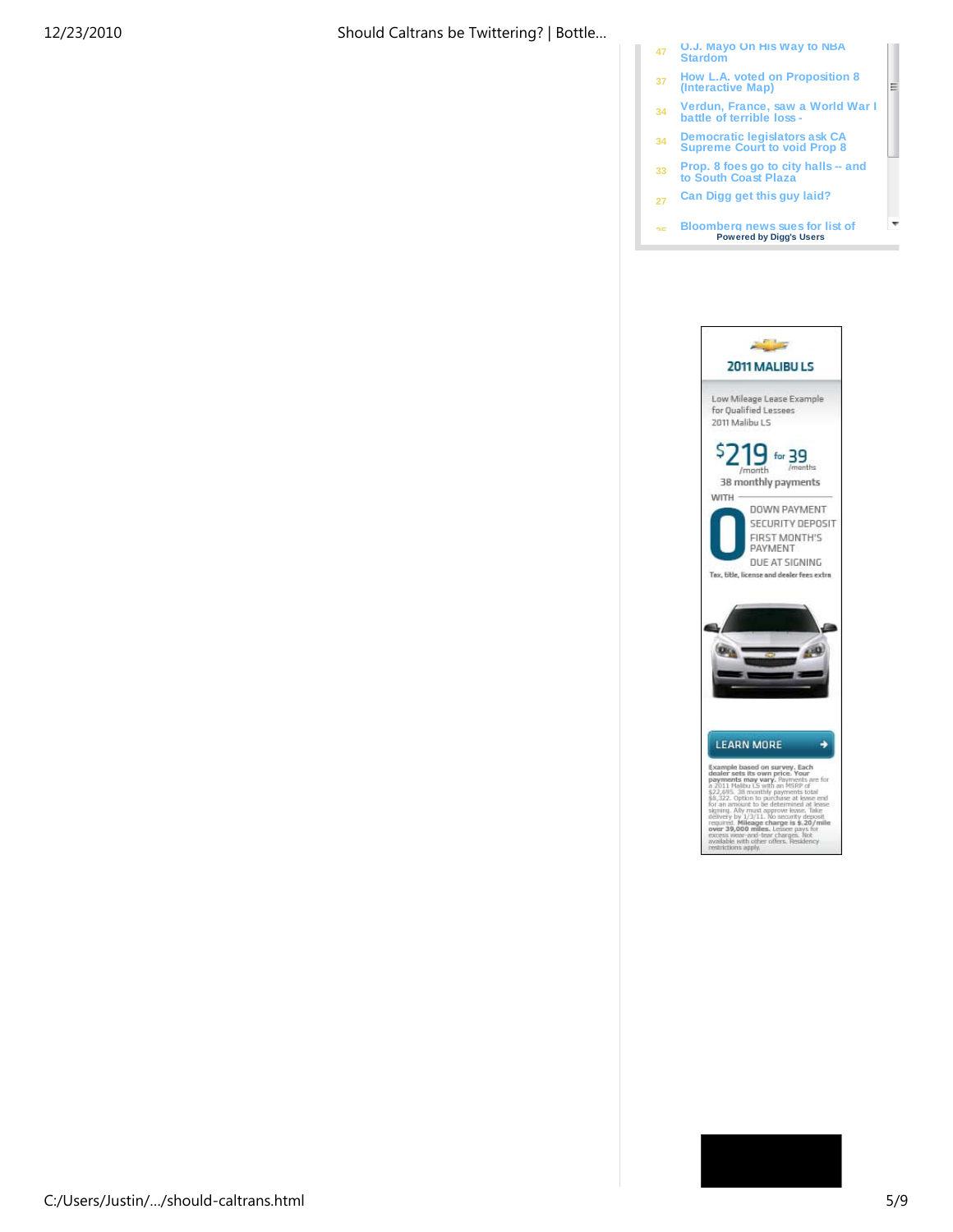- **47 O.J. Mayo On His Way to NBA Stardom**
- **37 How L.A. voted on Proposition 8 (Interactive Map)**
- **34 Verdun, France, saw a World War I battle of terrible loss -**

E

 $\overline{\phantom{a}}$ 

- **34 Democratic legislators ask CA Supreme Court to void Prop 8**
- **33 Prop. 8 foes go to city halls -- and to South Coast Plaza**
- **27 Can Digg get this guy laid?**

 $25$ 

**Bloomberg news sues for list of Powered by Digg's Users**

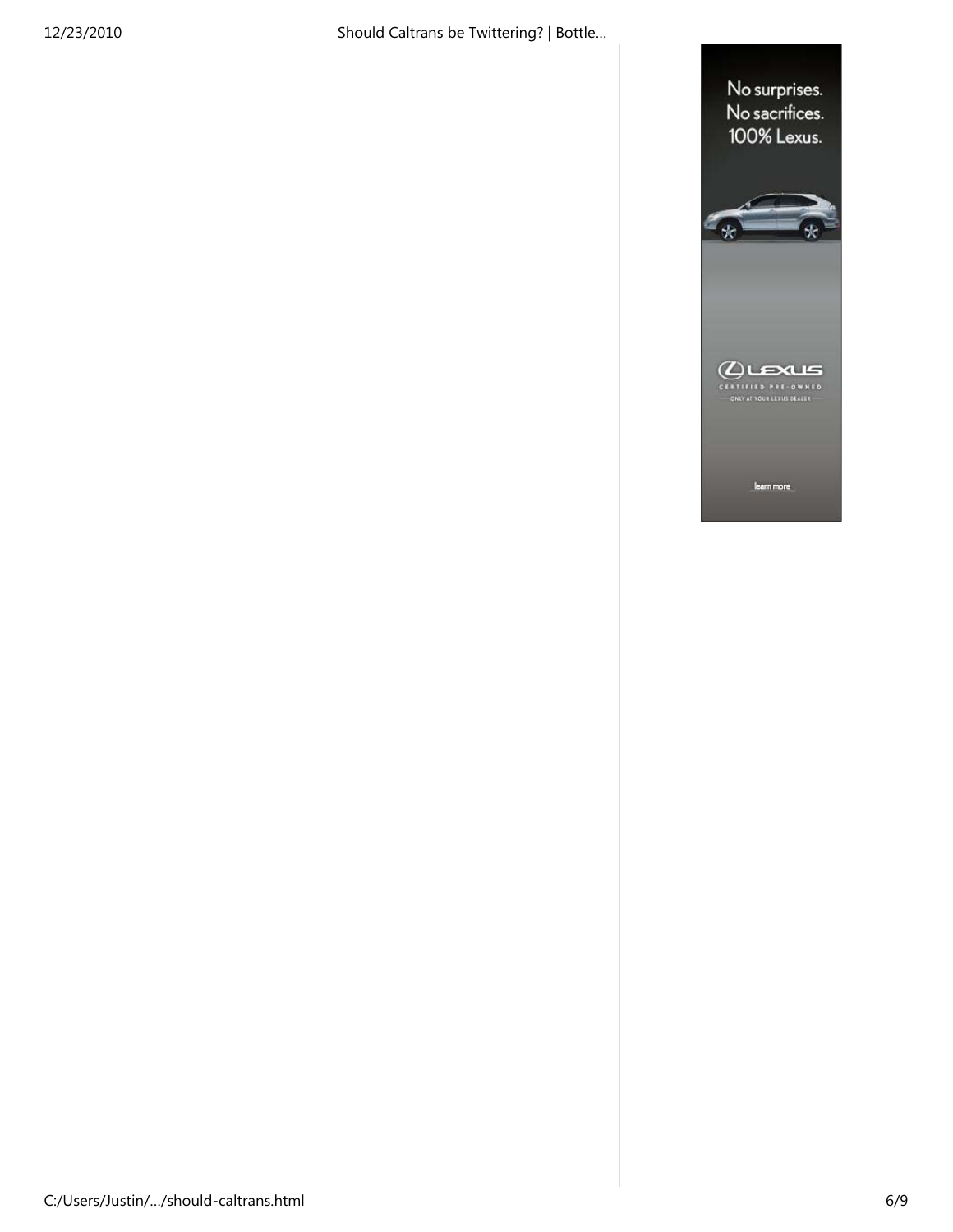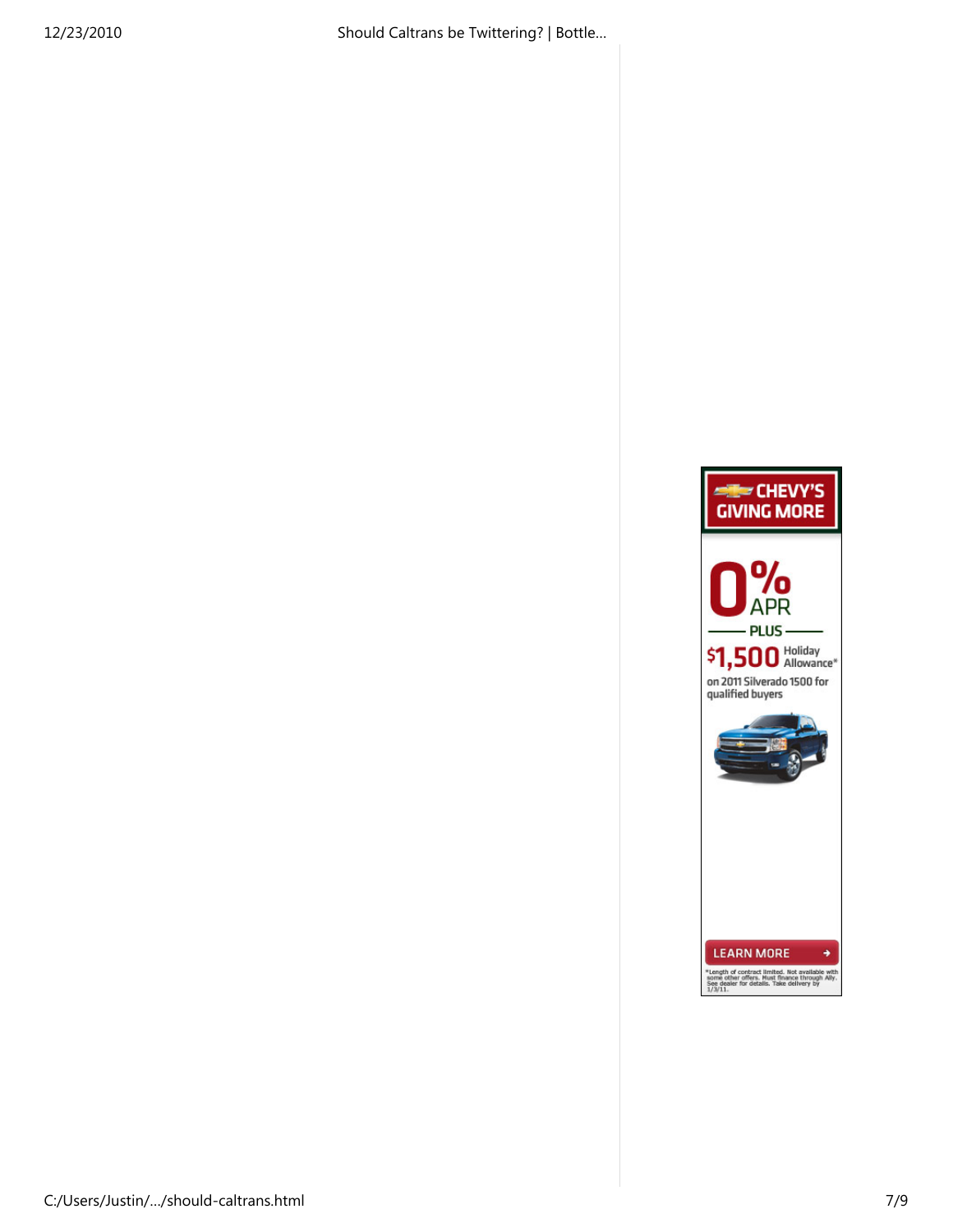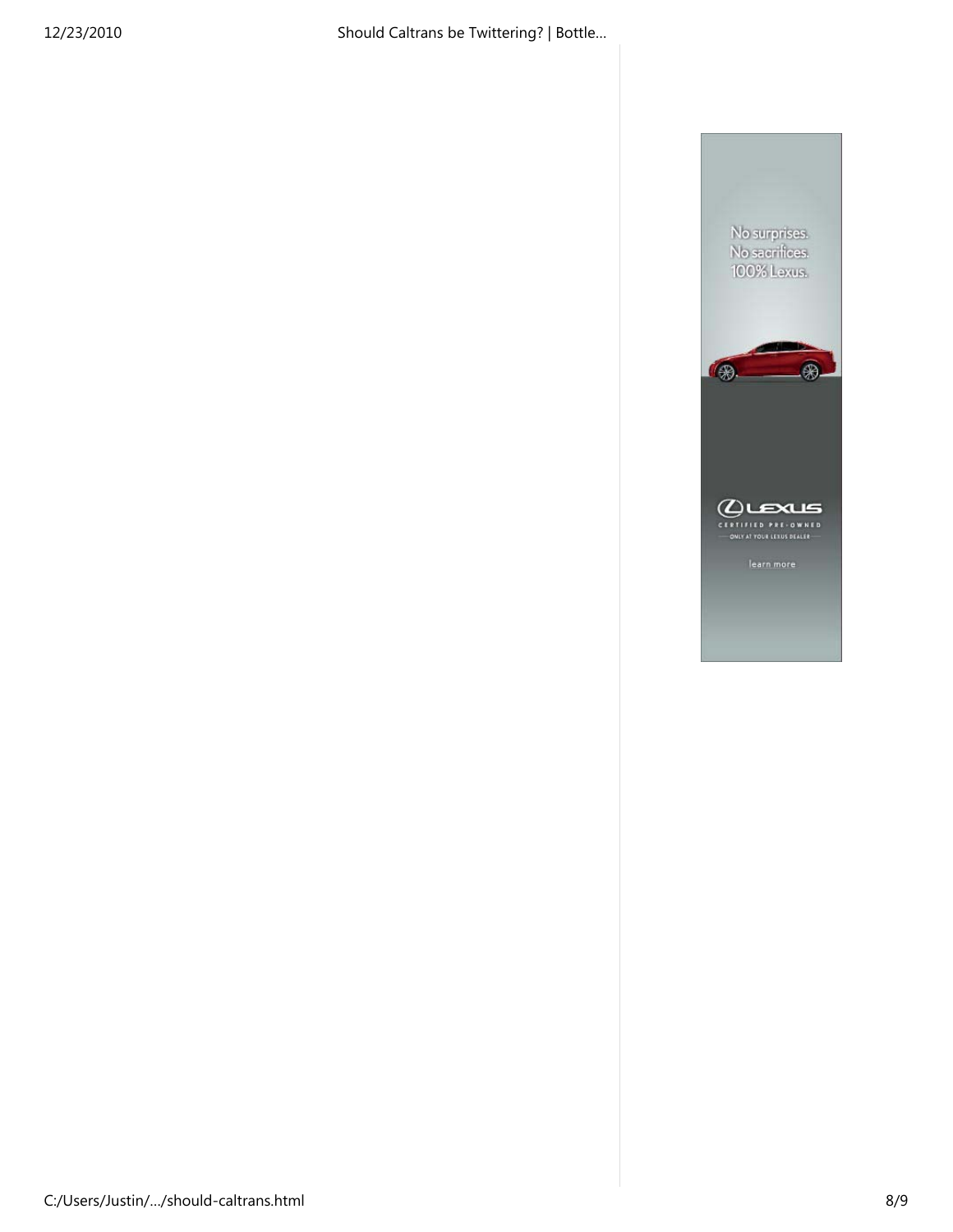